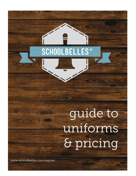## **SCHOOLBELLES<sup>®</sup>**

1. 化气灵

# guide to uniforms & pricing

www.schoolbelles.com/register

**Mary African**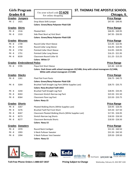| <b>Girls Program</b><br><b>Grades K-8</b> |                          |                                                        | <b>ST. THOMAS THE APOSTLE SCHOOL</b><br>Chicago, IL                                 |  |
|-------------------------------------------|--------------------------|--------------------------------------------------------|-------------------------------------------------------------------------------------|--|
|                                           |                          | Use your school code $$1406$<br>For online shopping    |                                                                                     |  |
|                                           | Grades Jumpers           |                                                        | <b>Price Range</b>                                                                  |  |
| $PK - 2$                                  | 1421                     | Drop Waist Shift Jumper                                | \$47.95 - \$49.95                                                                   |  |
|                                           |                          | <b>Colors: Green/Navy Polyester Plaid-528</b>          |                                                                                     |  |
| Grades Skirts                             |                          |                                                        | <b>Price Range</b>                                                                  |  |
| <b>PK - 8</b>                             | 1516                     | <b>Pleated Skirt</b>                                   | \$46.95 - \$49.95                                                                   |  |
| <b>PK - 8</b>                             | 1533                     | Side Pleat Skort w/ Knit Short                         | \$47.95 - \$50.95                                                                   |  |
|                                           |                          | <b>Colors: Green/Navy Polyester Plaid-528</b>          |                                                                                     |  |
|                                           | <b>Grades Blouses</b>    |                                                        | <b>Price Range</b>                                                                  |  |
| <b>PK - 8</b>                             | 1739                     | Round Collar Short Sleeve                              | $$15.95 - $22.95$                                                                   |  |
| <b>PK - 8</b>                             | 1740                     | Round Collar Long Sleeve                               | $$16.95 - $24.95$                                                                   |  |
| <b>PK - 8</b>                             | 1750                     | <b>Pointed Collar Short Sleeve</b>                     | $$14.95 - $20.95$                                                                   |  |
| <b>PK - 8</b>                             | 1751                     | Pointed Collar Long Sleeve                             | $$16.25 - $21.95$                                                                   |  |
| <b>PK - 8</b>                             | 8339                     | <b>Classroom Round Collar SS</b>                       | $$11.25 - $13.25$                                                                   |  |
|                                           |                          | <b>Colors: White-17</b>                                |                                                                                     |  |
| <b>Grades</b>                             | <b>Embroidered Polos</b> |                                                        | <b>Price Range</b>                                                                  |  |
| <b>PK - 8</b>                             | 5705                     | Pique Knit Short Sleeve                                | \$25.90 - \$29.90                                                                   |  |
|                                           |                          |                                                        | Colors: Dark Green with school monogram-19/1406, Grey with school monogram-21/1406, |  |
|                                           |                          | White with school monogram-17/1406                     |                                                                                     |  |
| Grades Slacks                             |                          |                                                        | <b>Price Range</b>                                                                  |  |
| <b>PK - 8</b>                             | 1261                     | <b>Plaid Flat Front Pants</b>                          | $$36.75 - $40.75$                                                                   |  |
|                                           |                          | <b>Colors: Green/Navy Polyester Plaid-528</b>          |                                                                                     |  |
| $PK - 8$                                  | 3264                     | Brushed Twill Straight Leg Pant (While Supplies Last)  | $$28.75 - $35.75$                                                                   |  |
|                                           |                          | <b>Colors: Navy Brushed Twill-1015</b>                 |                                                                                     |  |
| <b>PK - 8</b>                             | 3244                     | Brushed Twill Straight Leg Pant                        | $$28.95 - $35.95$                                                                   |  |
| <b>PK - 8</b>                             | 8263                     | Classroom Stretch Narrow Leg Pant                      | $$23.50 - $31.50$                                                                   |  |
| <b>PK - 8</b>                             | 8364                     | Classroom Flare Leg Pant                               | \$23.50 - \$33.75                                                                   |  |
|                                           |                          | <b>Colors: Navy-15</b>                                 |                                                                                     |  |
| Grades Shorts                             |                          |                                                        | <b>Price Range</b>                                                                  |  |
| PK - 8                                    | 3267                     | Pleated Walking Shorts (While Supplies Last)           | \$20.95 - \$26.95                                                                   |  |
| PK - 8                                    | 3276                     | Brushed Twill Flat Front Short                         | $$25.50 - $27.50$                                                                   |  |
| <b>PK - 8</b>                             | 8267                     | Classroom Pleated Walking Shorts (While Supplies Last) | \$17.95 - \$26.95                                                                   |  |
| <b>PK - 8</b>                             | 8273                     | <b>Stretch Narrow Leg Shorts</b>                       | $$18.50 - $26.50$                                                                   |  |
| PK - 8                                    | 8277                     | Classroom Bermuda Shorts                               | $$18.50 - $26.50$                                                                   |  |
|                                           |                          | Colors: Navy-15                                        |                                                                                     |  |
|                                           | <b>Grades Sweaters</b>   |                                                        | <b>Price Range</b>                                                                  |  |
| <b>PK - 8</b>                             | 1970                     | Round Neck Cardigan                                    | $$31.50 - $40.50$                                                                   |  |
| <b>PK-8</b>                               | 1993                     | V-Neck Pullover Sweater                                | $$31.50 - $42.50$                                                                   |  |
| <b>PK-8</b>                               | 1994                     | V-Neck Pullover Vest Sweater                           | \$29.50 - \$39.50                                                                   |  |
|                                           |                          | Colors: Navy-15                                        |                                                                                     |  |



**Toll-Free Phone Orders 1-888-637-3037 Pricing Subject to Change** Wednesday, February 23, 2022 REP 1104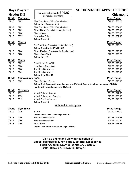| <b>Boys Program</b><br>Grades K-8 |                          | Use your school code $\underline{S1406}$<br>For online shopping | ST. THOMAS THE APOSTLE SCHOOL<br><b>Chicago, IL</b>                                 |  |
|-----------------------------------|--------------------------|-----------------------------------------------------------------|-------------------------------------------------------------------------------------|--|
|                                   |                          |                                                                 |                                                                                     |  |
| PK - 8                            | 5202                     | Plain Front Pants (While Supplies Last)                         | $$28.25 - $36.25$                                                                   |  |
|                                   |                          | <b>Colors: Navy Corduroy-415</b>                                |                                                                                     |  |
| <b>PK - 8</b>                     | 5202                     | Plain Front Pants (While Supplies Last)                         | \$26.95 - \$34.95                                                                   |  |
| <b>PK - 8</b>                     | 5203                     | Pleated Front Pants (While Supplies Last)                       | $$26.95 - $35.95$                                                                   |  |
| PK - 8                            | 5208                     | Classic Chino                                                   | $$26.50 - $33.95$                                                                   |  |
| <b>PK - 8</b>                     | 8332                     | Narrow Leg Chino                                                | $$21.95 - $32.95$                                                                   |  |
|                                   |                          | Colors: Navy-15                                                 |                                                                                     |  |
| <b>Grade</b>                      | <b>Shorts</b>            |                                                                 | <b>Price Range</b>                                                                  |  |
| PK - 8                            | 3282                     | Flat Front Long Shorts (While Supplies Last)                    | $$20.25 - $28.25$                                                                   |  |
|                                   |                          | <b>Colors: Navy Brushed Twill-1015</b>                          |                                                                                     |  |
| PK - 8                            | 3268                     | Pleated Walking Shorts (While Supplies Last)                    | $$20.50 - $28.50$                                                                   |  |
| <b>PK - 8</b>                     | 3288                     | <b>Classic Chino Short</b>                                      | $$20.25 - $28.25$                                                                   |  |
|                                   |                          | <b>Colors: Navy-15</b>                                          |                                                                                     |  |
| <u>Grade</u>                      | <b>Shirts</b>            |                                                                 | <b>Price Range</b>                                                                  |  |
| <b>PK - 8</b>                     | 5703                     | Short Sleeve Dress Shirt                                        | $$17.95 - $23.95$                                                                   |  |
| <b>PK-8</b>                       | 5704                     | Long Sleeve Dress Shirt                                         | $$18.95 - $26.95$                                                                   |  |
| <b>PK-8</b>                       | 5760                     | <b>Traditional Oxford, SS</b>                                   | $$19.95 - $26.95$                                                                   |  |
| <b>PK - 8</b>                     | 5761                     | <b>Traditional Oxford, LS</b>                                   | $$21.95 - $29.95$                                                                   |  |
|                                   |                          | <b>Colors: Light Blue-12</b>                                    |                                                                                     |  |
| <b>Grade</b>                      | <b>Embroidered Polos</b> |                                                                 | <b>Price Range</b>                                                                  |  |
| PK - 8                            | 5705                     | Pique Knit Short Sleeve                                         | \$25.90 - \$29.90                                                                   |  |
|                                   |                          |                                                                 | Colors: Dark Green with school monogram-19/1406, Grey with school monogram-21/1406, |  |
|                                   |                          | White with school monogram-17/1406                              |                                                                                     |  |
| <u>Grade</u>                      | <b>Sweaters</b>          |                                                                 | <b>Price Range</b>                                                                  |  |
| PK - 8                            | 1993                     | <b>V-Neck Pullover Sweater</b>                                  | $$31.50 - $42.50$                                                                   |  |
| <b>PK - 8</b>                     | 1994                     | V-Neck Pullover Vest Sweater                                    | \$29.50 - \$39.50                                                                   |  |
| <b>PK - 8</b>                     | 5912                     | V-Neck Cardigan Sweater                                         | $$36.25 - $46.25$                                                                   |  |
|                                   |                          | Colors: Navy-15                                                 |                                                                                     |  |
|                                   |                          | <b>Girls and Boys Program</b>                                   |                                                                                     |  |
| <b>Grade</b>                      | <u>Gym Wear</u>          |                                                                 | <b>Price Range</b>                                                                  |  |
| PK - 8                            | 2020                     | T-Shirt                                                         | \$11.70 - \$14.50                                                                   |  |
|                                   |                          | Colors: White with school logo-17/7267                          |                                                                                     |  |
| PK - 8                            | 2040                     | <b>Traditional Sweatpants</b>                                   | $$17.75 - $23.25$                                                                   |  |
| <b>PK - 8</b>                     | 2050                     | <b>Traditional Sweatshirt</b>                                   | \$23.25 - \$29.70                                                                   |  |
| <b>PK - 8</b>                     | 2069                     | Jersey Short                                                    | $$16.25 - $18.25$                                                                   |  |
|                                   |                          | Colors: Dark Green with school logo-19/7267                     |                                                                                     |  |

#### **Visit us online and view our selection of Shoes, backpacks, lunch bags & colorful accessories! Hosiery/Socks: Navy-15, White-17, Black-22 Belts: Black-22, Brown-23, Navy-15**